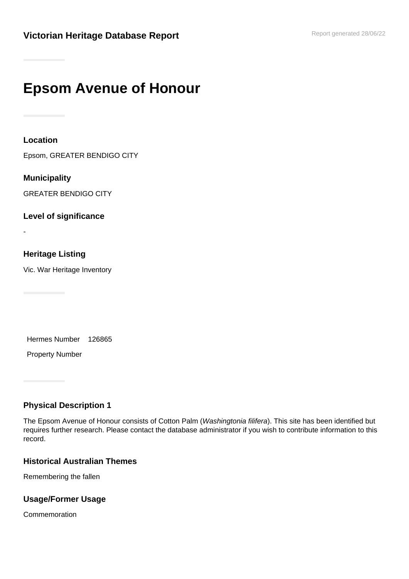# **Epsom Avenue of Honour**

**Location**

Epsom, GREATER BENDIGO CITY

**Municipality** GREATER BENDIGO CITY

**Level of significance**

-

## **Heritage Listing**

Vic. War Heritage Inventory

Hermes Number 126865

Property Number

# **Physical Description 1**

The Epsom Avenue of Honour consists of Cotton Palm (Washingtonia filifera). This site has been identified but requires further research. Please contact the database administrator if you wish to contribute information to this record.

#### **Historical Australian Themes**

Remembering the fallen

## **Usage/Former Usage**

Commemoration